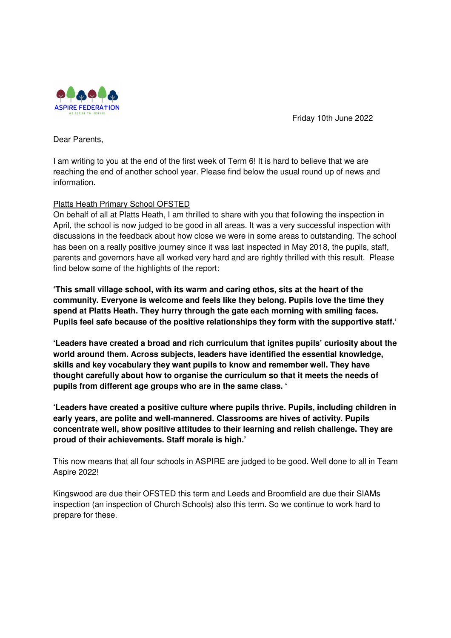

Friday 10th June 2022

Dear Parents,

I am writing to you at the end of the first week of Term 6! It is hard to believe that we are reaching the end of another school year. Please find below the usual round up of news and information.

# Platts Heath Primary School OFSTED

On behalf of all at Platts Heath, I am thrilled to share with you that following the inspection in April, the school is now judged to be good in all areas. It was a very successful inspection with discussions in the feedback about how close we were in some areas to outstanding. The school has been on a really positive journey since it was last inspected in May 2018, the pupils, staff, parents and governors have all worked very hard and are rightly thrilled with this result. Please find below some of the highlights of the report:

**'This small village school, with its warm and caring ethos, sits at the heart of the community. Everyone is welcome and feels like they belong. Pupils love the time they spend at Platts Heath. They hurry through the gate each morning with smiling faces. Pupils feel safe because of the positive relationships they form with the supportive staff.'** 

**'Leaders have created a broad and rich curriculum that ignites pupils' curiosity about the world around them. Across subjects, leaders have identified the essential knowledge, skills and key vocabulary they want pupils to know and remember well. They have thought carefully about how to organise the curriculum so that it meets the needs of pupils from different age groups who are in the same class. '** 

**'Leaders have created a positive culture where pupils thrive. Pupils, including children in early years, are polite and well-mannered. Classrooms are hives of activity. Pupils concentrate well, show positive attitudes to their learning and relish challenge. They are proud of their achievements. Staff morale is high.'**

This now means that all four schools in ASPIRE are judged to be good. Well done to all in Team Aspire 2022!

Kingswood are due their OFSTED this term and Leeds and Broomfield are due their SIAMs inspection (an inspection of Church Schools) also this term. So we continue to work hard to prepare for these.